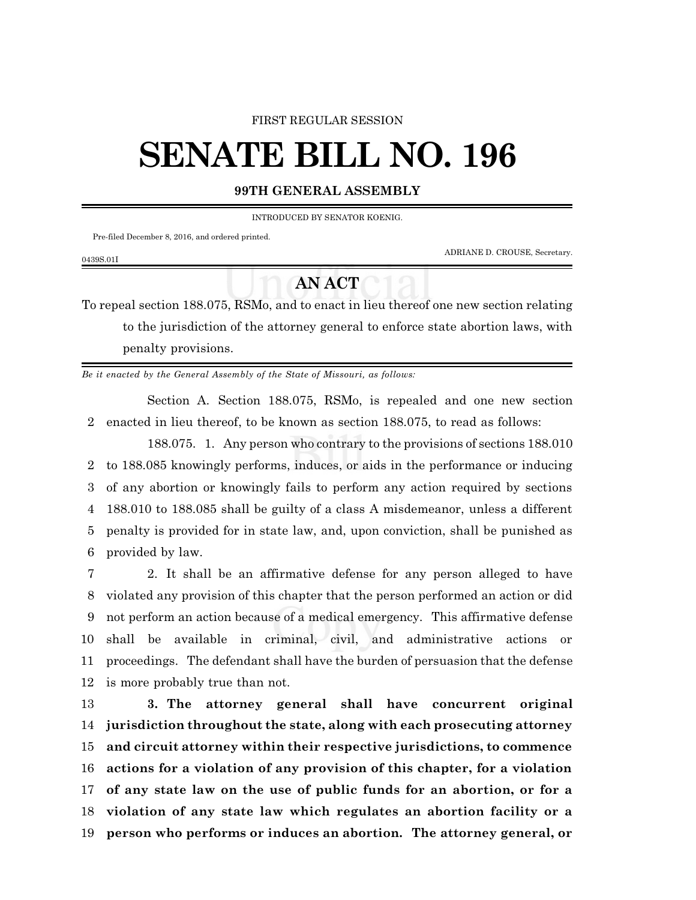### FIRST REGULAR SESSION

# **SENATE BILL NO. 196**

## **99TH GENERAL ASSEMBLY**

INTRODUCED BY SENATOR KOENIG.

Pre-filed December 8, 2016, and ordered printed.

0439S.01I

ADRIANE D. CROUSE, Secretary.

# **AN ACT**

To repeal section 188.075, RSMo, and to enact in lieu thereof one new section relating to the jurisdiction of the attorney general to enforce state abortion laws, with penalty provisions.

*Be it enacted by the General Assembly of the State of Missouri, as follows:*

Section A. Section 188.075, RSMo, is repealed and one new section 2 enacted in lieu thereof, to be known as section 188.075, to read as follows:

188.075. 1. Any person who contrary to the provisions of sections 188.010 to 188.085 knowingly performs, induces, or aids in the performance or inducing of any abortion or knowingly fails to perform any action required by sections 188.010 to 188.085 shall be guilty of a class A misdemeanor, unless a different penalty is provided for in state law, and, upon conviction, shall be punished as provided by law.

 2. It shall be an affirmative defense for any person alleged to have violated any provision of this chapter that the person performed an action or did not perform an action because of a medical emergency. This affirmative defense shall be available in criminal, civil, and administrative actions or proceedings. The defendant shall have the burden of persuasion that the defense is more probably true than not.

 **3. The attorney general shall have concurrent original jurisdiction throughout the state, along with each prosecuting attorney and circuit attorney within their respective jurisdictions, to commence actions for a violation of any provision of this chapter, for a violation of any state law on the use of public funds for an abortion, or for a violation of any state law which regulates an abortion facility or a person who performs or induces an abortion. The attorney general, or**